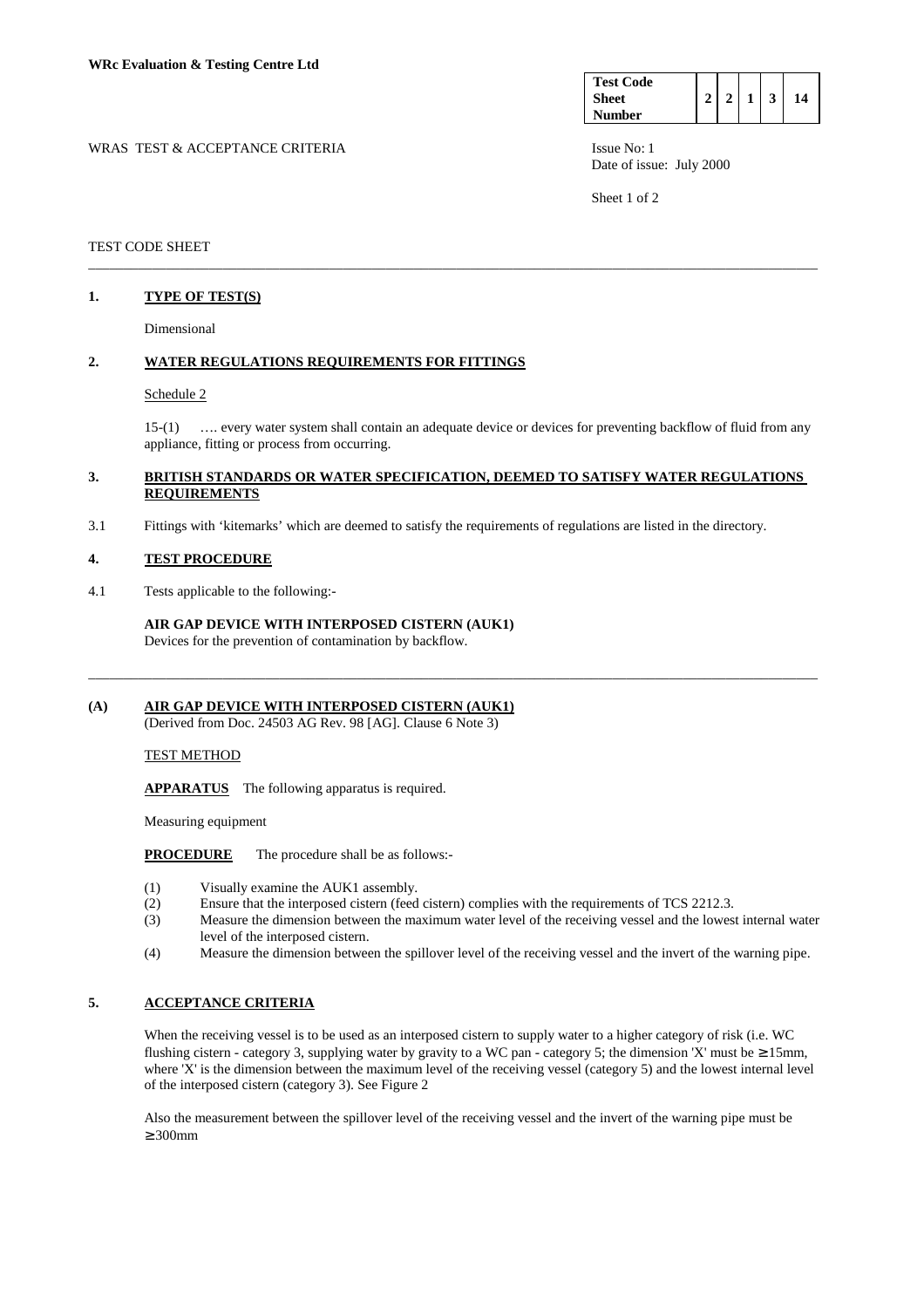| <b>Test Code</b> |  |  |  |
|------------------|--|--|--|
| <b>Sheet</b>     |  |  |  |
| <b>Number</b>    |  |  |  |

Date of issue: July 2000

Sheet 1 of 2

### TEST CODE SHEET

# **1. TYPE OF TEST(S)**

Dimensional

### **2. WATER REGULATIONS REQUIREMENTS FOR FITTINGS**

### Schedule 2

 15-(1) …. every water system shall contain an adequate device or devices for preventing backflow of fluid from any appliance, fitting or process from occurring.

### **3. BRITISH STANDARDS OR WATER SPECIFICATION, DEEMED TO SATISFY WATER REGULATIONS REQUIREMENTS**

\_\_\_\_\_\_\_\_\_\_\_\_\_\_\_\_\_\_\_\_\_\_\_\_\_\_\_\_\_\_\_\_\_\_\_\_\_\_\_\_\_\_\_\_\_\_\_\_\_\_\_\_\_\_\_\_\_\_\_\_\_\_\_\_\_\_\_\_\_\_\_\_\_\_\_\_\_\_\_\_\_\_\_\_\_\_\_\_\_\_\_\_\_\_\_\_\_\_\_\_\_\_\_

\_\_\_\_\_\_\_\_\_\_\_\_\_\_\_\_\_\_\_\_\_\_\_\_\_\_\_\_\_\_\_\_\_\_\_\_\_\_\_\_\_\_\_\_\_\_\_\_\_\_\_\_\_\_\_\_\_\_\_\_\_\_\_\_\_\_\_\_\_\_\_\_\_\_\_\_\_\_\_\_\_\_\_\_\_\_\_\_\_\_\_\_\_\_\_\_\_\_\_\_\_\_\_

3.1 Fittings with 'kitemarks' which are deemed to satisfy the requirements of regulations are listed in the directory.

### **4. TEST PROCEDURE**

4.1 Tests applicable to the following:-

 **AIR GAP DEVICE WITH INTERPOSED CISTERN (AUK1)**  Devices for the prevention of contamination by backflow.

# **(A) AIR GAP DEVICE WITH INTERPOSED CISTERN (AUK1)**

(Derived from Doc. 24503 AG Rev. 98 [AG]. Clause 6 Note 3)

### TEST METHOD

**APPARATUS** The following apparatus is required.

Measuring equipment

### **PROCEDURE** The procedure shall be as follows:-

- (1) Visually examine the AUK1 assembly.
- (2) Ensure that the interposed cistern (feed cistern) complies with the requirements of TCS 2212.3.
- (3) Measure the dimension between the maximum water level of the receiving vessel and the lowest internal water level of the interposed cistern.
- (4) Measure the dimension between the spillover level of the receiving vessel and the invert of the warning pipe.

# **5. ACCEPTANCE CRITERIA**

 When the receiving vessel is to be used as an interposed cistern to supply water to a higher category of risk (i.e. WC flushing cistern - category 3, supplying water by gravity to a WC pan - category 5; the dimension 'X' must be  $\geq 15$ mm, where 'X' is the dimension between the maximum level of the receiving vessel (category 5) and the lowest internal level of the interposed cistern (category 3). See Figure 2

 Also the measurement between the spillover level of the receiving vessel and the invert of the warning pipe must be ≥ 300mm

# WRAS TEST & ACCEPTANCE CRITERIA ISSUE No: 1